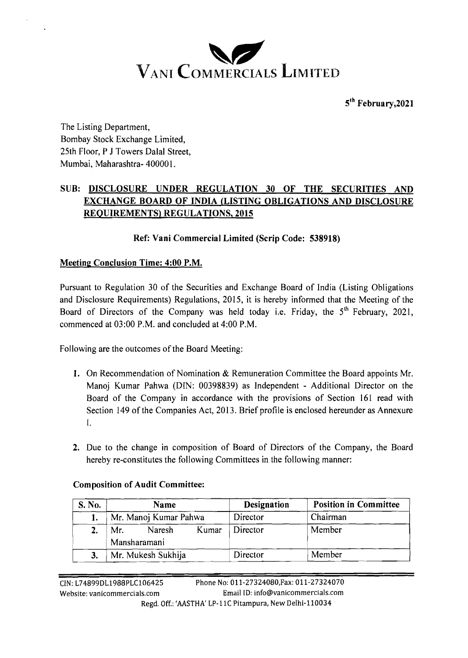

5<sup>th</sup> February, 2021

The Listing Department, Bombay Stock Exchange Limited, 25th Floor, P J Towers Dalal Street, Mumbai, Maharashtra- 40000 1.

## **SUB: DISCLOSURE UNDER REGULATION 30 OF THE SECURITIES AND EXCHANGE BOARD OF INDIA (LISTING OBLIGATIONS AND DISCLOSURE REQUIREMENTS) REGULATIONS, 2015**

### **Ref: Vani Commercial Limited (Scrip Code: 538918)**

### **Meetinp Conclusion Time: 4:00 P.M.**

Pursuant to Regulation 30 of the Securities and Exchange Board of India (Listing Obligations and Disclosure Requirements) Regulations, 2015, it is hereby informed that the Meeting of the Board of Directors of the Company was held today i.e. Friday, the **5'h** February, 2021, commenced at 03:OO P.M. and concluded at 4:00 P.M.

Following are the outcomes of the Board Meeting:

- **1.** On Recommendation of Nomination & Remuneration Committee the Board appoints Mr. Manoj Kumar Pahwa (DIN: 00398839) as Independent - Additional Director on the Board of the Company in accordance with the provisions of Section 161 read with Section 149 of the Companies Act, 2013. Brief profile is enclosed hereunder as Annexure I.
- **2.** Due to the change in composition of Board of Directors of the Company, the Board hereby re-constitutes the following Committees in the following manner:

| S. No. | <b>Name</b>                   |       | <b>Designation</b> | <b>Position in Committee</b> |
|--------|-------------------------------|-------|--------------------|------------------------------|
|        | Mr. Manoj Kumar Pahwa         |       | Director           | Chairman                     |
|        | Naresh<br>Mr.<br>Mansharamani | Kumar | Director           | Member                       |
| З.     | Mr. Mukesh Sukhija            |       | Director           | Member                       |

#### **Composition of Audit Committee:**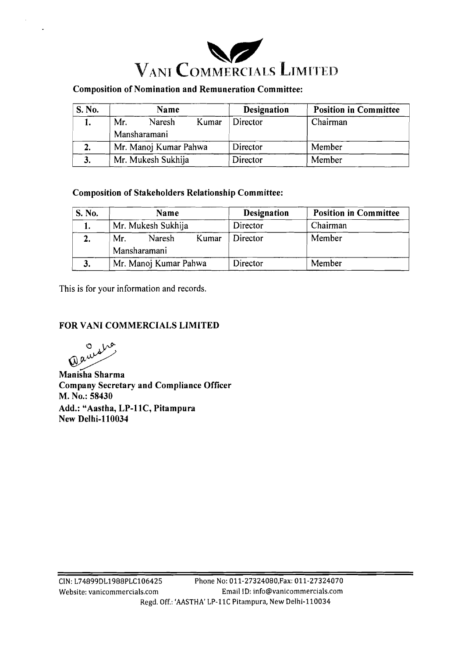

# **Composition of Nomination and Remuneration Committee:**

| S. No. | Name                   | <b>Designation</b> | <b>Position in Committee</b> |
|--------|------------------------|--------------------|------------------------------|
|        | Mr.<br>Naresh<br>Kumar | Director           | Chairman                     |
|        | Mansharamani           |                    |                              |
| 2.     | Mr. Manoj Kumar Pahwa  | Director           | Member                       |
|        | Mr. Mukesh Sukhija     | Director           | Member                       |

### **Composition of Stakeholders Relationship Committee:**

| S. No. | Name                                   | <b>Designation</b> | <b>Position in Committee</b> |
|--------|----------------------------------------|--------------------|------------------------------|
|        | Mr. Mukesh Sukhija                     | Director           | Chairman                     |
|        | Kumar<br>Mr.<br>Naresh<br>Mansharamani | Director           | Member                       |
| 3.     | Mr. Manoj Kumar Pahwa                  | Director           | Member                       |

This is for your information and records.

### **FOR VANI COMMERCIALS LIMITED**

Quidio

**Manisha Sharma Company Secretary and Compliance Officer M. No.: 58430**  Add.: "Aastha, LP-11C, Pitampura **New Delhi-110034**